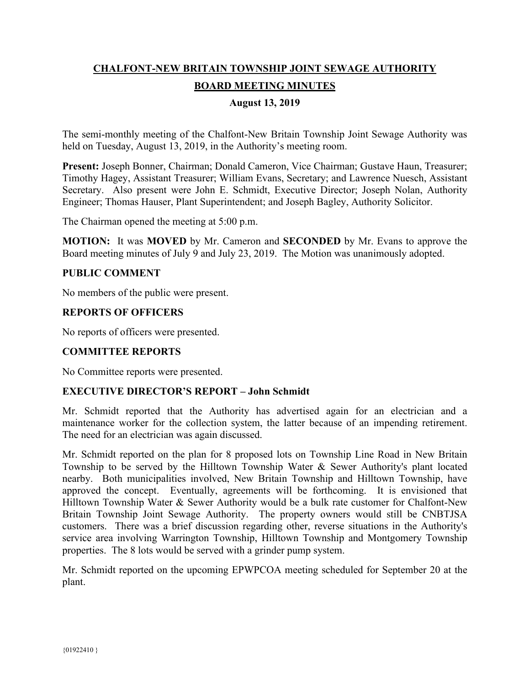# **CHALFONT-NEW BRITAIN TOWNSHIP JOINT SEWAGE AUTHORITY BOARD MEETING MINUTES**

## **August 13, 2019**

The semi-monthly meeting of the Chalfont-New Britain Township Joint Sewage Authority was held on Tuesday, August 13, 2019, in the Authority's meeting room.

**Present:** Joseph Bonner, Chairman; Donald Cameron, Vice Chairman; Gustave Haun, Treasurer; Timothy Hagey, Assistant Treasurer; William Evans, Secretary; and Lawrence Nuesch, Assistant Secretary. Also present were John E. Schmidt, Executive Director; Joseph Nolan, Authority Engineer; Thomas Hauser, Plant Superintendent; and Joseph Bagley, Authority Solicitor.

The Chairman opened the meeting at 5:00 p.m.

**MOTION:** It was **MOVED** by Mr. Cameron and **SECONDED** by Mr. Evans to approve the Board meeting minutes of July 9 and July 23, 2019. The Motion was unanimously adopted.

#### **PUBLIC COMMENT**

No members of the public were present.

#### **REPORTS OF OFFICERS**

No reports of officers were presented.

# **COMMITTEE REPORTS**

No Committee reports were presented.

#### **EXECUTIVE DIRECTOR'S REPORT – John Schmidt**

Mr. Schmidt reported that the Authority has advertised again for an electrician and a maintenance worker for the collection system, the latter because of an impending retirement. The need for an electrician was again discussed.

Mr. Schmidt reported on the plan for 8 proposed lots on Township Line Road in New Britain Township to be served by the Hilltown Township Water & Sewer Authority's plant located nearby. Both municipalities involved, New Britain Township and Hilltown Township, have approved the concept. Eventually, agreements will be forthcoming. It is envisioned that Hilltown Township Water & Sewer Authority would be a bulk rate customer for Chalfont-New Britain Township Joint Sewage Authority. The property owners would still be CNBTJSA customers. There was a brief discussion regarding other, reverse situations in the Authority's service area involving Warrington Township, Hilltown Township and Montgomery Township properties. The 8 lots would be served with a grinder pump system.

Mr. Schmidt reported on the upcoming EPWPCOA meeting scheduled for September 20 at the plant.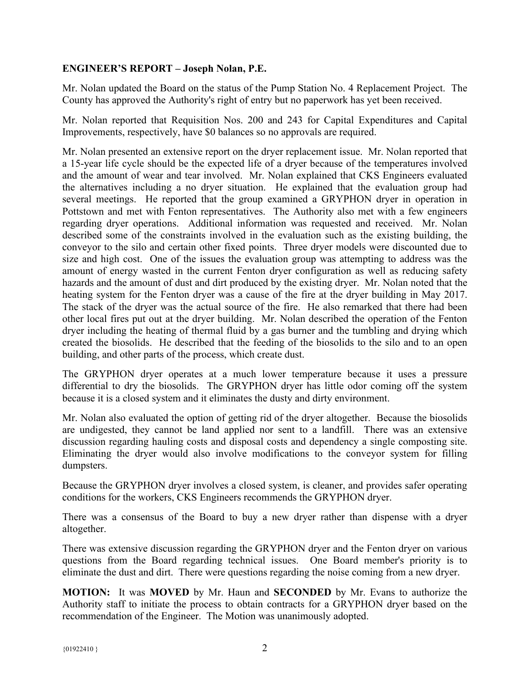## **ENGINEER'S REPORT – Joseph Nolan, P.E.**

Mr. Nolan updated the Board on the status of the Pump Station No. 4 Replacement Project. The County has approved the Authority's right of entry but no paperwork has yet been received.

Mr. Nolan reported that Requisition Nos. 200 and 243 for Capital Expenditures and Capital Improvements, respectively, have \$0 balances so no approvals are required.

Mr. Nolan presented an extensive report on the dryer replacement issue. Mr. Nolan reported that a 15-year life cycle should be the expected life of a dryer because of the temperatures involved and the amount of wear and tear involved. Mr. Nolan explained that CKS Engineers evaluated the alternatives including a no dryer situation. He explained that the evaluation group had several meetings. He reported that the group examined a GRYPHON dryer in operation in Pottstown and met with Fenton representatives. The Authority also met with a few engineers regarding dryer operations. Additional information was requested and received. Mr. Nolan described some of the constraints involved in the evaluation such as the existing building, the conveyor to the silo and certain other fixed points. Three dryer models were discounted due to size and high cost. One of the issues the evaluation group was attempting to address was the amount of energy wasted in the current Fenton dryer configuration as well as reducing safety hazards and the amount of dust and dirt produced by the existing dryer. Mr. Nolan noted that the heating system for the Fenton dryer was a cause of the fire at the dryer building in May 2017. The stack of the dryer was the actual source of the fire. He also remarked that there had been other local fires put out at the dryer building. Mr. Nolan described the operation of the Fenton dryer including the heating of thermal fluid by a gas burner and the tumbling and drying which created the biosolids. He described that the feeding of the biosolids to the silo and to an open building, and other parts of the process, which create dust.

The GRYPHON dryer operates at a much lower temperature because it uses a pressure differential to dry the biosolids. The GRYPHON dryer has little odor coming off the system because it is a closed system and it eliminates the dusty and dirty environment.

Mr. Nolan also evaluated the option of getting rid of the dryer altogether. Because the biosolids are undigested, they cannot be land applied nor sent to a landfill. There was an extensive discussion regarding hauling costs and disposal costs and dependency a single composting site. Eliminating the dryer would also involve modifications to the conveyor system for filling dumpsters.

Because the GRYPHON dryer involves a closed system, is cleaner, and provides safer operating conditions for the workers, CKS Engineers recommends the GRYPHON dryer.

There was a consensus of the Board to buy a new dryer rather than dispense with a dryer altogether.

There was extensive discussion regarding the GRYPHON dryer and the Fenton dryer on various questions from the Board regarding technical issues. One Board member's priority is to eliminate the dust and dirt. There were questions regarding the noise coming from a new dryer.

**MOTION:** It was **MOVED** by Mr. Haun and **SECONDED** by Mr. Evans to authorize the Authority staff to initiate the process to obtain contracts for a GRYPHON dryer based on the recommendation of the Engineer. The Motion was unanimously adopted.